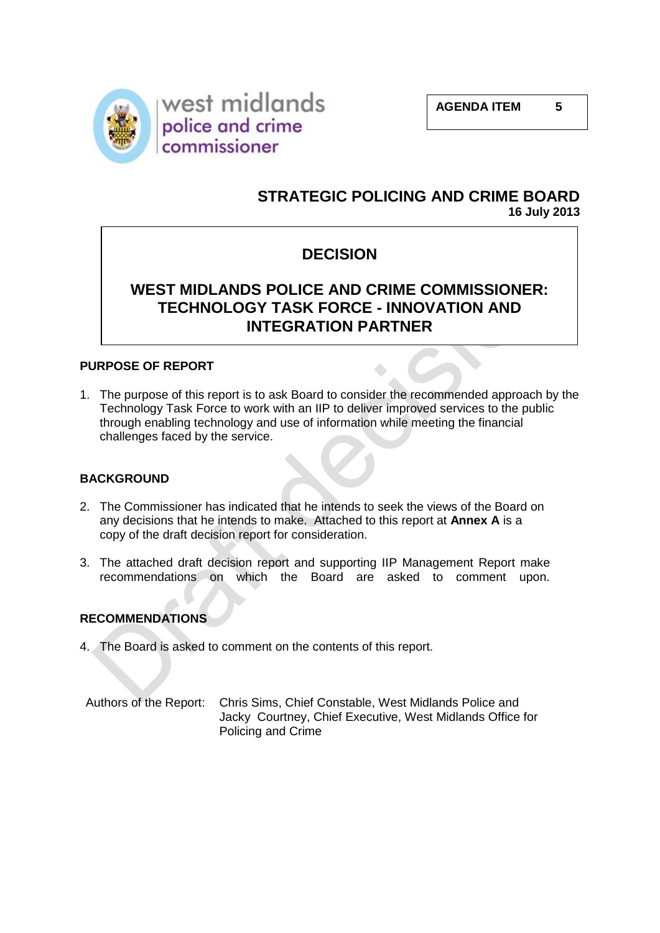

## **STRATEGIC POLICING AND CRIME BOARD 16 July 2013**

## **DECISION**

## **WEST MIDLANDS POLICE AND CRIME COMMISSIONER: TECHNOLOGY TASK FORCE - INNOVATION AND INTEGRATION PARTNER**

### **PURPOSE OF REPORT**

1. The purpose of this report is to ask Board to consider the recommended approach by the Technology Task Force to work with an IIP to deliver improved services to the public through enabling technology and use of information while meeting the financial challenges faced by the service.

### **BACKGROUND**

- 2. The Commissioner has indicated that he intends to seek the views of the Board on any decisions that he intends to make. Attached to this report at **Annex A** is a copy of the draft decision report for consideration.
- 3. The attached draft decision report and supporting IIP Management Report make recommendations on which the Board are asked to comment upon.

### **RECOMMENDATIONS**

- 4. The Board is asked to comment on the contents of this report.
- Authors of the Report: Chris Sims, Chief Constable, West Midlands Police and Jacky Courtney, Chief Executive, West Midlands Office for Policing and Crime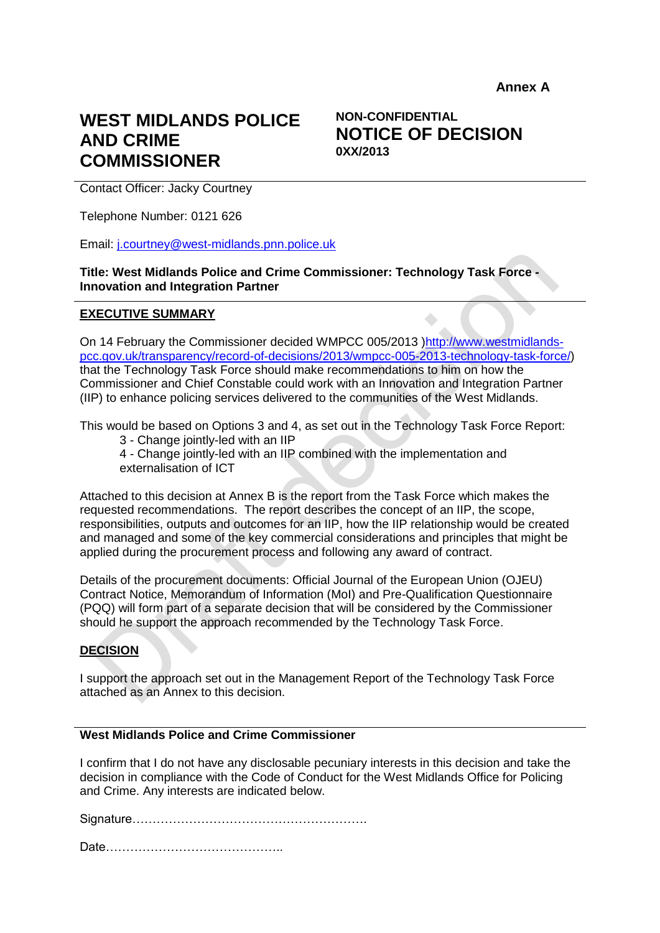# **WEST MIDLANDS POLICE AND CRIME COMMISSIONER**

## **NON-CONFIDENTIAL NOTICE OF DECISION 0XX/2013**

Contact Officer: Jacky Courtney

Telephone Number: 0121 626

Email: [j.courtney@west-midlands.pnn.police.uk](mailto:j.courtney@west-midlands.pnn.police.uk)

**Title: West Midlands Police and Crime Commissioner: Technology Task Force - Innovation and Integration Partner**

#### **EXECUTIVE SUMMARY**

On 14 February the Commissioner decided WMPCC 005/2013 [\)http://www.westmidlands](http://www.westmidlands-pcc.gov.uk/transparency/record-of-decisions/2013/wmpcc-005-2013-technology-task-force/)[pcc.gov.uk/transparency/record-of-decisions/2013/wmpcc-005-2013-technology-task-force/\)](http://www.westmidlands-pcc.gov.uk/transparency/record-of-decisions/2013/wmpcc-005-2013-technology-task-force/) that the Technology Task Force should make recommendations to him on how the Commissioner and Chief Constable could work with an Innovation and Integration Partner (IIP) to enhance policing services delivered to the communities of the West Midlands.

This would be based on Options 3 and 4, as set out in the Technology Task Force Report:

3 - Change jointly-led with an IIP

4 - Change jointly-led with an IIP combined with the implementation and externalisation of ICT

Attached to this decision at Annex B is the report from the Task Force which makes the requested recommendations. The report describes the concept of an IIP, the scope, responsibilities, outputs and outcomes for an IIP, how the IIP relationship would be created and managed and some of the key commercial considerations and principles that might be applied during the procurement process and following any award of contract.

Details of the procurement documents: Official Journal of the European Union (OJEU) Contract Notice, Memorandum of Information (MoI) and Pre-Qualification Questionnaire (PQQ) will form part of a separate decision that will be considered by the Commissioner should he support the approach recommended by the Technology Task Force.

#### **DECISION**

I support the approach set out in the Management Report of the Technology Task Force attached as an Annex to this decision.

#### **West Midlands Police and Crime Commissioner**

I confirm that I do not have any disclosable pecuniary interests in this decision and take the decision in compliance with the Code of Conduct for the West Midlands Office for Policing and Crime. Any interests are indicated below.

Signature………………………………………………….

Date……………………………………..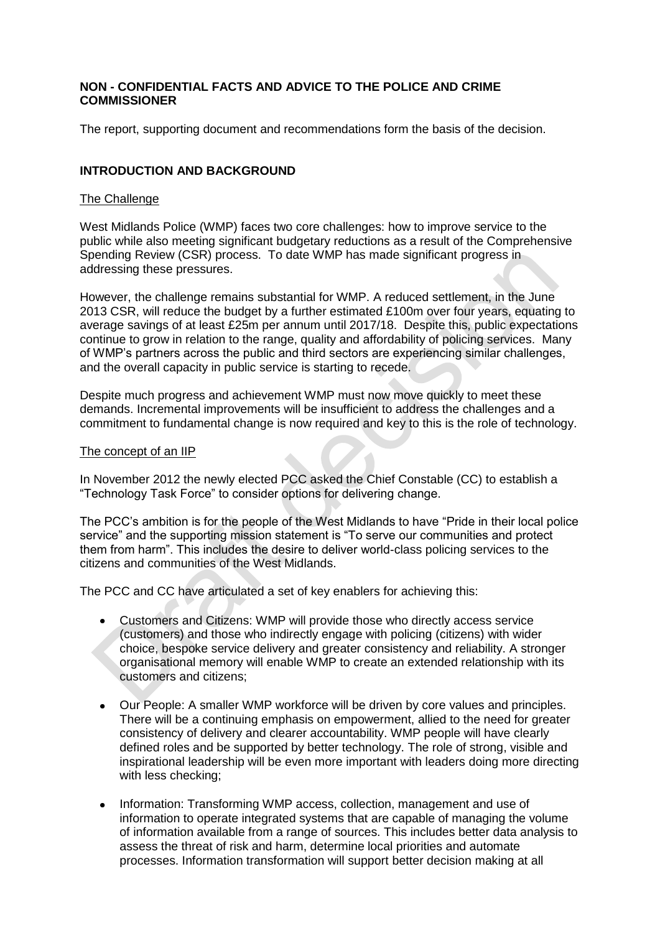#### **NON - CONFIDENTIAL FACTS AND ADVICE TO THE POLICE AND CRIME COMMISSIONER**

The report, supporting document and recommendations form the basis of the decision.

#### **INTRODUCTION AND BACKGROUND**

#### The Challenge

West Midlands Police (WMP) faces two core challenges: how to improve service to the public while also meeting significant budgetary reductions as a result of the Comprehensive Spending Review (CSR) process. To date WMP has made significant progress in addressing these pressures.

However, the challenge remains substantial for WMP. A reduced settlement, in the June 2013 CSR, will reduce the budget by a further estimated £100m over four years, equating to average savings of at least £25m per annum until 2017/18. Despite this, public expectations continue to grow in relation to the range, quality and affordability of policing services. Many of WMP's partners across the public and third sectors are experiencing similar challenges, and the overall capacity in public service is starting to recede.

Despite much progress and achievement WMP must now move quickly to meet these demands. Incremental improvements will be insufficient to address the challenges and a commitment to fundamental change is now required and key to this is the role of technology.

#### The concept of an IIP

In November 2012 the newly elected PCC asked the Chief Constable (CC) to establish a "Technology Task Force" to consider options for delivering change.

The PCC's ambition is for the people of the West Midlands to have "Pride in their local police service" and the supporting mission statement is "To serve our communities and protect them from harm". This includes the desire to deliver world-class policing services to the citizens and communities of the West Midlands.

The PCC and CC have articulated a set of key enablers for achieving this:

- Customers and Citizens: WMP will provide those who directly access service (customers) and those who indirectly engage with policing (citizens) with wider choice, bespoke service delivery and greater consistency and reliability. A stronger organisational memory will enable WMP to create an extended relationship with its customers and citizens;
- $\bullet$ Our People: A smaller WMP workforce will be driven by core values and principles. There will be a continuing emphasis on empowerment, allied to the need for greater consistency of delivery and clearer accountability. WMP people will have clearly defined roles and be supported by better technology. The role of strong, visible and inspirational leadership will be even more important with leaders doing more directing with less checking;
- $\bullet$ Information: Transforming WMP access, collection, management and use of information to operate integrated systems that are capable of managing the volume of information available from a range of sources. This includes better data analysis to assess the threat of risk and harm, determine local priorities and automate processes. Information transformation will support better decision making at all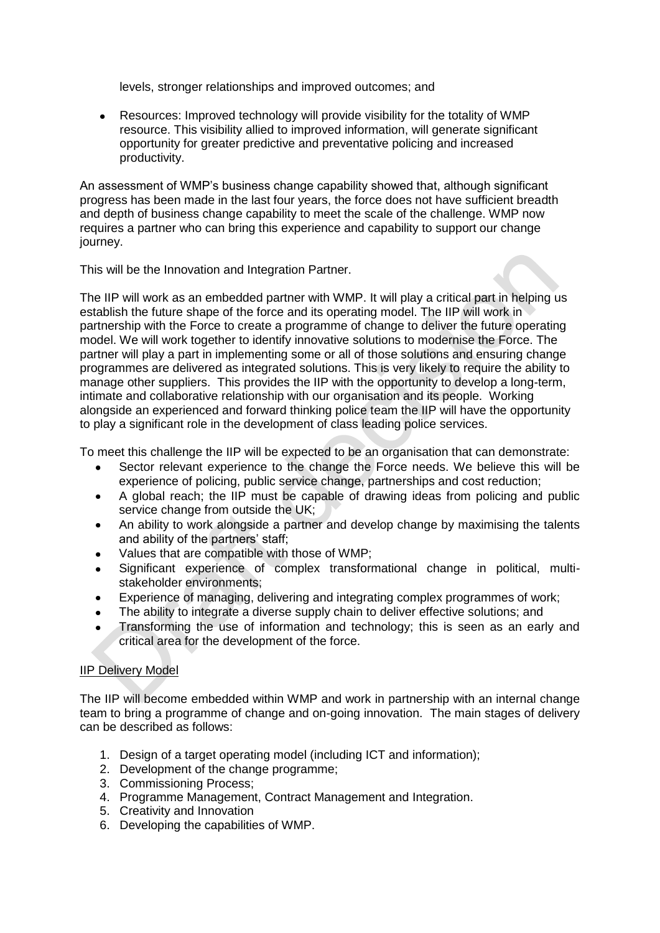levels, stronger relationships and improved outcomes; and

 $\bullet$ Resources: Improved technology will provide visibility for the totality of WMP resource. This visibility allied to improved information, will generate significant opportunity for greater predictive and preventative policing and increased productivity.

An assessment of WMP's business change capability showed that, although significant progress has been made in the last four years, the force does not have sufficient breadth and depth of business change capability to meet the scale of the challenge. WMP now requires a partner who can bring this experience and capability to support our change journey.

This will be the Innovation and Integration Partner.

The IIP will work as an embedded partner with WMP. It will play a critical part in helping us establish the future shape of the force and its operating model. The IIP will work in partnership with the Force to create a programme of change to deliver the future operating model. We will work together to identify innovative solutions to modernise the Force. The partner will play a part in implementing some or all of those solutions and ensuring change programmes are delivered as integrated solutions. This is very likely to require the ability to manage other suppliers. This provides the IIP with the opportunity to develop a long-term, intimate and collaborative relationship with our organisation and its people. Working alongside an experienced and forward thinking police team the IIP will have the opportunity to play a significant role in the development of class leading police services.

To meet this challenge the IIP will be expected to be an organisation that can demonstrate:

- Sector relevant experience to the change the Force needs. We believe this will be experience of policing, public service change, partnerships and cost reduction;
- A global reach; the IIP must be capable of drawing ideas from policing and public  $\bullet$ service change from outside the UK;
- An ability to work alongside a partner and develop change by maximising the talents  $\bullet$ and ability of the partners' staff;
- Values that are compatible with those of WMP;
- Significant experience of complex transformational change in political, multistakeholder environments;
- Experience of managing, delivering and integrating complex programmes of work;
- The ability to integrate a diverse supply chain to deliver effective solutions; and
- Transforming the use of information and technology; this is seen as an early and critical area for the development of the force.

#### IIP Delivery Model

The IIP will become embedded within WMP and work in partnership with an internal change team to bring a programme of change and on-going innovation. The main stages of delivery can be described as follows:

- 1. Design of a target operating model (including ICT and information);
- 2. Development of the change programme;
- 3. Commissioning Process;
- 4. Programme Management, Contract Management and Integration.
- 5. Creativity and Innovation
- 6. Developing the capabilities of WMP.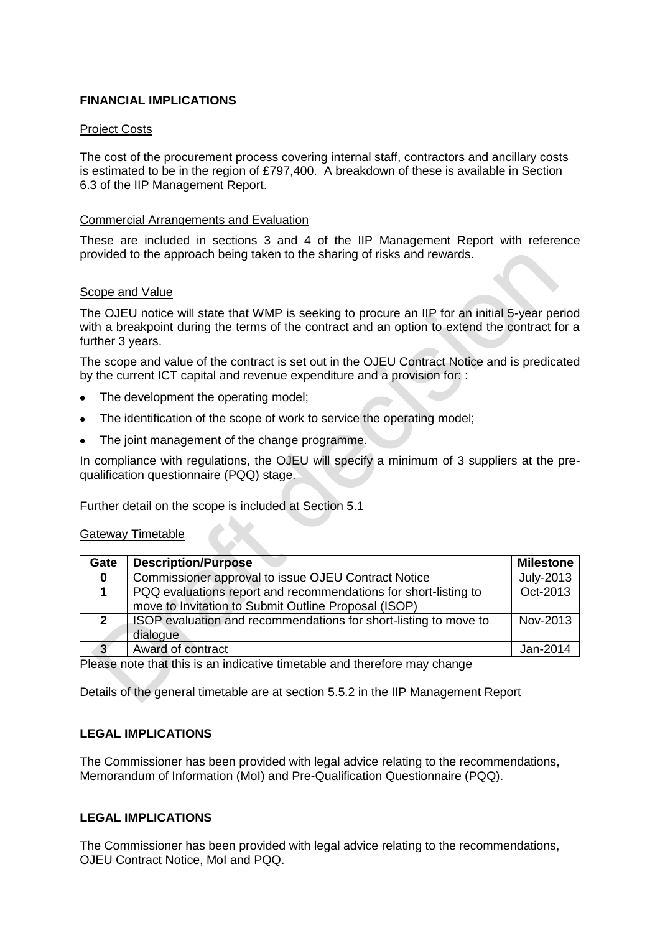#### **FINANCIAL IMPLICATIONS**

#### Project Costs

The cost of the procurement process covering internal staff, contractors and ancillary costs is estimated to be in the region of £797,400. A breakdown of these is available in Section 6.3 of the IIP Management Report.

#### Commercial Arrangements and Evaluation

These are included in sections 3 and 4 of the IIP Management Report with reference provided to the approach being taken to the sharing of risks and rewards.

#### Scope and Value

The OJEU notice will state that WMP is seeking to procure an IIP for an initial 5-year period with a breakpoint during the terms of the contract and an option to extend the contract for a further 3 years.

The scope and value of the contract is set out in the OJEU Contract Notice and is predicated by the current ICT capital and revenue expenditure and a provision for: :

- The development the operating model;
- The identification of the scope of work to service the operating model;
- The joint management of the change programme.

In compliance with regulations, the OJEU will specify a minimum of 3 suppliers at the prequalification questionnaire (PQQ) stage.

Further detail on the scope is included at Section 5.1

#### Gateway Timetable

| Gate         | <b>Description/Purpose</b>                                                                                              | <b>Milestone</b> |
|--------------|-------------------------------------------------------------------------------------------------------------------------|------------------|
| $\mathbf{0}$ | Commissioner approval to issue OJEU Contract Notice                                                                     | July-2013        |
|              | PQQ evaluations report and recommendations for short-listing to<br>move to Invitation to Submit Outline Proposal (ISOP) | Oct-2013         |
| $\mathbf{2}$ | ISOP evaluation and recommendations for short-listing to move to<br>dialogue                                            | Nov-2013         |
| 3            | Award of contract                                                                                                       | Jan-2014         |

Please note that this is an indicative timetable and therefore may change

Details of the general timetable are at section 5.5.2 in the IIP Management Report

#### **LEGAL IMPLICATIONS**

The Commissioner has been provided with legal advice relating to the recommendations, Memorandum of Information (MoI) and Pre-Qualification Questionnaire (PQQ).

#### **LEGAL IMPLICATIONS**

The Commissioner has been provided with legal advice relating to the recommendations, OJEU Contract Notice, MoI and PQQ.